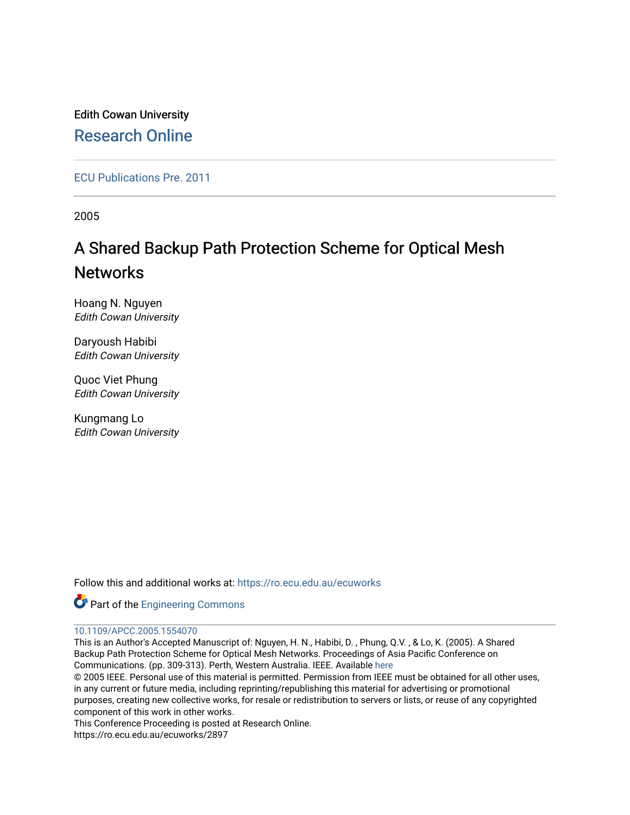Edith Cowan University [Research Online](https://ro.ecu.edu.au/) 

[ECU Publications Pre. 2011](https://ro.ecu.edu.au/ecuworks)

2005

## A Shared Backup Path Protection Scheme for Optical Mesh **Networks**

Hoang N. Nguyen Edith Cowan University

Daryoush Habibi Edith Cowan University

Quoc Viet Phung Edith Cowan University

Kungmang Lo Edith Cowan University

Follow this and additional works at: [https://ro.ecu.edu.au/ecuworks](https://ro.ecu.edu.au/ecuworks?utm_source=ro.ecu.edu.au%2Fecuworks%2F2897&utm_medium=PDF&utm_campaign=PDFCoverPages) 



## [10.1109/APCC.2005.1554070](http://dx.doi.org/10.1109/APCC.2005.1554070)

This is an Author's Accepted Manuscript of: Nguyen, H. N., Habibi, D. , Phung, Q.V. , & Lo, K. (2005). A Shared Backup Path Protection Scheme for Optical Mesh Networks. Proceedings of Asia Pacific Conference on Communications. (pp. 309-313). Perth, Western Australia. IEEE. Available [here](http://dx.doi.org/10.1109/APCC.2005.1554070)

© 2005 IEEE. Personal use of this material is permitted. Permission from IEEE must be obtained for all other uses, in any current or future media, including reprinting/republishing this material for advertising or promotional purposes, creating new collective works, for resale or redistribution to servers or lists, or reuse of any copyrighted component of this work in other works.

This Conference Proceeding is posted at Research Online.

https://ro.ecu.edu.au/ecuworks/2897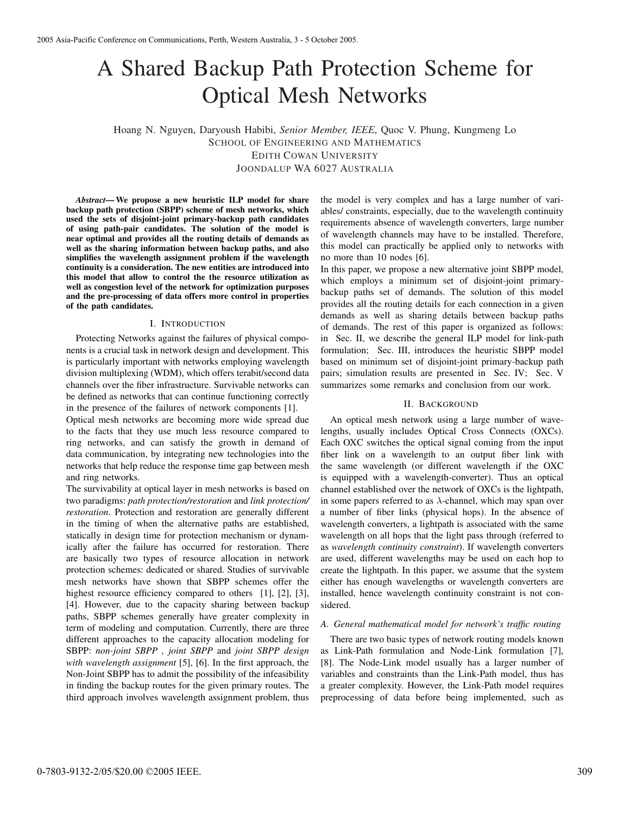# A Shared Backup Path Protection Scheme for Optical Mesh Networks

Hoang N. Nguyen, Daryoush Habibi, *Senior Member, IEEE*, Quoc V. Phung, Kungmeng Lo SCHOOL OF ENGINEERING AND MATHEMATICS EDITH COWAN UNIVERSITY JOONDALUP WA 6027 AUSTRALIA

*Abstract*—We propose a new heuristic ILP model for share backup path protection (SBPP) scheme of mesh networks, which used the sets of disjoint-joint primary-backup path candidates of using path-pair candidates. The solution of the model is near optimal and provides all the routing details of demands as well as the sharing information between backup paths, and also simplifies the wavelength assignment problem if the wavelength continuity is a consideration. The new entities are introduced into this model that allow to control the the resource utilization as well as congestion level of the network for optimization purposes and the pre-processing of data offers more control in properties of the path candidates.

#### I. INTRODUCTION

Protecting Networks against the failures of physical components is a crucial task in network design and development. This is particularly important with networks employing wavelength division multiplexing (WDM), which offers terabit/second data channels over the fiber infrastructure. Survivable networks can be defined as networks that can continue functioning correctly in the presence of the failures of network components [1].

Optical mesh networks are becoming more wide spread due to the facts that they use much less resource compared to ring networks, and can satisfy the growth in demand of data communication, by integrating new technologies into the networks that help reduce the response time gap between mesh and ring networks.

The survivability at optical layer in mesh networks is based on two paradigms: *path protection/restoration* and *link protection/ restoration*. Protection and restoration are generally different in the timing of when the alternative paths are established, statically in design time for protection mechanism or dynamically after the failure has occurred for restoration. There are basically two types of resource allocation in network protection schemes: dedicated or shared. Studies of survivable mesh networks have shown that SBPP schemes offer the highest resource efficiency compared to others [1], [2], [3], [4]. However, due to the capacity sharing between backup paths, SBPP schemes generally have greater complexity in term of modeling and computation. Currently, there are three different approaches to the capacity allocation modeling for SBPP: *non-joint SBPP , joint SBPP* and *joint SBPP design with wavelength assignment* [5], [6]. In the first approach, the Non-Joint SBPP has to admit the possibility of the infeasibility in finding the backup routes for the given primary routes. The third approach involves wavelength assignment problem, thus

the model is very complex and has a large number of variables/ constraints, especially, due to the wavelength continuity requirements absence of wavelength converters, large number of wavelength channels may have to be installed. Therefore, this model can practically be applied only to networks with no more than 10 nodes [6].

In this paper, we propose a new alternative joint SBPP model, which employs a minimum set of disjoint-joint primarybackup paths set of demands. The solution of this model provides all the routing details for each connection in a given demands as well as sharing details between backup paths of demands. The rest of this paper is organized as follows: in Sec. II, we describe the general ILP model for link-path formulation; Sec. III, introduces the heuristic SBPP model based on minimum set of disjoint-joint primary-backup path pairs; simulation results are presented in Sec. IV; Sec. V summarizes some remarks and conclusion from our work.

#### II. BACKGROUND

An optical mesh network using a large number of wavelengths, usually includes Optical Cross Connects (OXCs). Each OXC switches the optical signal coming from the input fiber link on a wavelength to an output fiber link with the same wavelength (or different wavelength if the OXC is equipped with a wavelength-converter). Thus an optical channel established over the network of OXCs is the lightpath, in some papers referred to as *λ*-channel, which may span over a number of fiber links (physical hops). In the absence of wavelength converters, a lightpath is associated with the same wavelength on all hops that the light pass through (referred to as *wavelength continuity constraint*). If wavelength converters are used, different wavelengths may be used on each hop to create the lightpath. In this paper, we assume that the system either has enough wavelengths or wavelength converters are installed, hence wavelength continuity constraint is not considered.

#### *A. General mathematical model for network's traffic routing*

There are two basic types of network routing models known as Link-Path formulation and Node-Link formulation [7], [8]. The Node-Link model usually has a larger number of variables and constraints than the Link-Path model, thus has a greater complexity. However, the Link-Path model requires preprocessing of data before being implemented, such as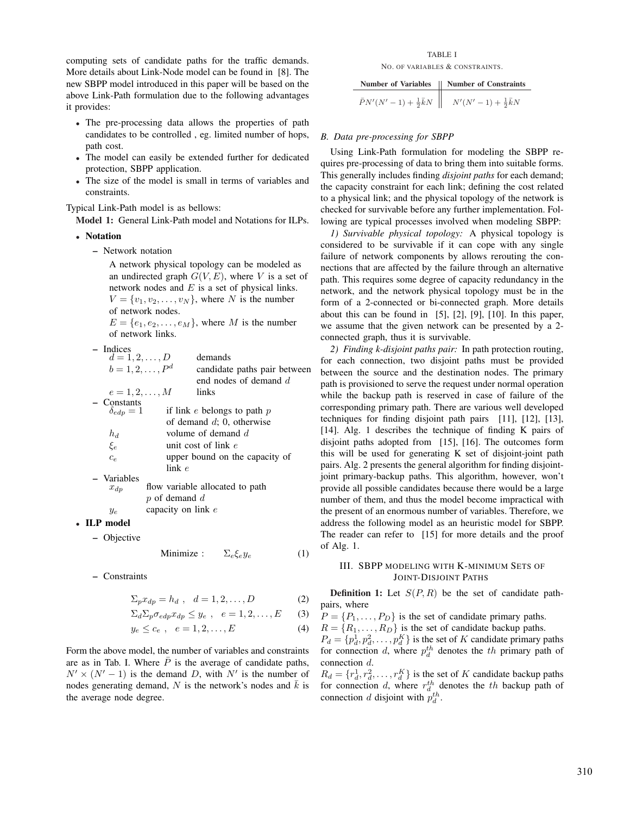computing sets of candidate paths for the traffic demands. More details about Link-Node model can be found in [8]. The new SBPP model introduced in this paper will be based on the above Link-Path formulation due to the following advantages it provides:

- The pre-processing data allows the properties of path candidates to be controlled , eg. limited number of hops, path cost.
- The model can easily be extended further for dedicated protection, SBPP application.
- The size of the model is small in terms of variables and constraints.

Typical Link-Path model is as bellows:

Model 1: General Link-Path model and Notations for ILPs.

- Notation
	- Network notation

A network physical topology can be modeled as an undirected graph  $G(V, E)$ , where V is a set of network nodes and *E* is a set of physical links.  $V = \{v_1, v_2, \dots, v_N\}$ , where *N* is the number of network nodes.

 $E = \{e_1, e_2, \ldots, e_M\}$ , where *M* is the number of network links.

– Indices

| $d = 1, 2, , D$   |                    | demands                         |
|-------------------|--------------------|---------------------------------|
| $b = 1, 2, , P^d$ |                    | candidate paths pair between    |
|                   |                    | end nodes of demand d           |
| $e = 1, 2, , M$   |                    | links                           |
| - Constants       |                    |                                 |
| $\delta_{edn}=1$  |                    | if link $e$ belongs to path $p$ |
|                   |                    | of demand $d$ ; 0, otherwise    |
| $h_d$             |                    | volume of demand d              |
| $\xi_e$           |                    | unit cost of link $e$           |
| $c_{e}$           |                    | upper bound on the capacity of  |
|                   | link e             |                                 |
| - Variables       |                    |                                 |
| $x_{dp}$          |                    | flow variable allocated to path |
|                   | $p$ of demand $d$  |                                 |
| $y_e$             | capacity on link e |                                 |
| .P model          |                    |                                 |

•  $\mathbf{I}$ – Objective

Minimize :  $\Sigma_e \xi_e y_e$  (1)

– Constraints

$$
\Sigma_p x_{dp} = h_d , \quad d = 1, 2, \dots, D \tag{2}
$$

$$
\Sigma_d \Sigma_p \sigma_{edp} x_{dp} \leq y_e , \quad e = 1, 2, \dots, E \qquad (3)
$$

$$
y_e \leq c_e
$$
,  $e = 1, 2, ..., E$  (4)

Form the above model, the number of variables and constraints are as in Tab. I. Where  $\overline{P}$  is the average of candidate paths,  $N' \times (N' - 1)$  is the demand *D*, with  $N'$  is the number of nodes generating demand, N is the network's nodes and  $\bar{k}$  is the average node degree.

#### TABLE I NO. OF VARIABLES & CONSTRAINTS.

| Number of Variables                     | Number of Constraints            |
|-----------------------------------------|----------------------------------|
| $\bar{P}N'(N'-1) + \frac{1}{2}\bar{k}N$ | $N'(N'-1) + \frac{1}{2}\bar{k}N$ |

#### *B. Data pre-processing for SBPP*

Using Link-Path formulation for modeling the SBPP requires pre-processing of data to bring them into suitable forms. This generally includes finding *disjoint paths* for each demand; the capacity constraint for each link; defining the cost related to a physical link; and the physical topology of the network is checked for survivable before any further implementation. Following are typical processes involved when modeling SBPP:

*1) Survivable physical topology:* A physical topology is considered to be survivable if it can cope with any single failure of network components by allows rerouting the connections that are affected by the failure through an alternative path. This requires some degree of capacity redundancy in the network, and the network physical topology must be in the form of a 2-connected or bi-connected graph. More details about this can be found in  $[5]$ ,  $[2]$ ,  $[9]$ ,  $[10]$ . In this paper, we assume that the given network can be presented by a 2 connected graph, thus it is survivable.

*2) Finding k-disjoint paths pair:* In path protection routing, for each connection, two disjoint paths must be provided between the source and the destination nodes. The primary path is provisioned to serve the request under normal operation while the backup path is reserved in case of failure of the corresponding primary path. There are various well developed techniques for finding disjoint path pairs [11], [12], [13], [14]. Alg. 1 describes the technique of finding K pairs of disjoint paths adopted from [15], [16]. The outcomes form this will be used for generating K set of disjoint-joint path pairs. Alg. 2 presents the general algorithm for finding disjointjoint primary-backup paths. This algorithm, however, won't provide all possible candidates because there would be a large number of them, and thus the model become impractical with the present of an enormous number of variables. Therefore, we address the following model as an heuristic model for SBPP. The reader can refer to [15] for more details and the proof of Alg. 1.

## III. SBPP MODELING WITH K-MINIMUM SETS OF JOINT-DISJOINT PATHS

**Definition 1:** Let  $S(P, R)$  be the set of candidate pathpairs, where

 $P = \{P_1, \ldots, P_D\}$  is the set of candidate primary paths.

 $R = \{R_1, \ldots, R_D\}$  is the set of candidate backup paths.

 $P_d = \{p_d^1, p_d^2, \dots, p_d^K\}$  is the set of *K* candidate primary paths for connection *d*, where  $p_d^{th}$  denotes the *th* primary path of connection *d*.

 $R_d = \{r_d^1, r_d^2, \dots, r_d^K\}$  is the set of *K* candidate backup paths for connection *d*, where  $r_d^{th}$  denotes the *th* backup path of connection *d* disjoint with  $p_d^{th}$ .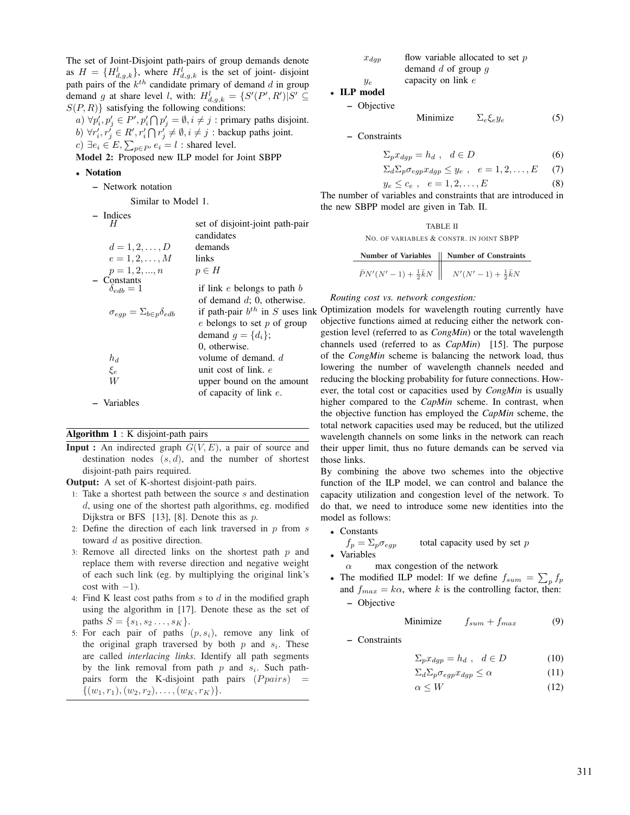The set of Joint-Disjoint path-pairs of group demands denote as  $H = \{H_{d,g,k}^l\}$ , where  $H_{d,g,k}^l$  is the set of joint-disjoint path pairs of the *k*th candidate primary of demand *d* in group demand *g* at share level *l*, with:  $H_{d,g,k}^l = \{S'(P',R')|S' \subseteq$  $S(P, R)$ } satisfying the following conditions:

*a*)  $\forall p'_i, p'_j \in P', p'_i \cap p'_j = \emptyset, i \neq j$ : primary paths disjoint. *b*)  $\forall r'_i, r'_j \in R', r'_i \cap r'_j \neq \emptyset, i \neq j$ : backup paths joint. *c*) ∃ $e_i$  ∈ *E*,  $\sum_{p \in P'} e_i = l$  : shared level.

Model 2: Proposed new ILP model for Joint SBPP

## • Notation

- Network notation
	- Similar to Model 1.

| - Indices                                     |                                      |
|-----------------------------------------------|--------------------------------------|
| н                                             | set of disjoint-joint path-pair      |
|                                               | candidates                           |
| $d = 1, 2, , D$                               | demands                              |
| $e = 1, 2, , M$                               | links                                |
| $p = 1, 2, , n$                               | $p \in H$                            |
| - Constants                                   |                                      |
| $\delta_{edb} = 1$                            | if link $e$ belongs to path $b$      |
|                                               | of demand $d$ ; 0, otherwise.        |
| $\sigma_{eap} = \Sigma_{b\in p} \delta_{edb}$ | if path-pair $b^{th}$ in S uses link |
|                                               | $e$ belongs to set $p$ of group      |
|                                               | demand $g = \{d_i\};$                |
|                                               | 0, otherwise.                        |
| $h_d$                                         | volume of demand. $d$                |
| $\xi_e$                                       | unit cost of link. e                 |
| W                                             | upper bound on the amount            |
|                                               | of capacity of link $e$ .            |
| - Variables                                   |                                      |
|                                               |                                      |

## Algorithm 1 : K disjoint-path pairs

**Input :** An indirected graph  $G(V, E)$ , a pair of source and destination nodes (*s, d*), and the number of shortest disjoint-path pairs required.

Output: A set of K-shortest disjoint-path pairs.

- 1: Take a shortest path between the source *s* and destination *d*, using one of the shortest path algorithms, eg. modified Dijkstra or BFS [13], [8]. Denote this as *p*.
- 2: Define the direction of each link traversed in *p* from *s* toward *d* as positive direction.
- 3: Remove all directed links on the shortest path *p* and replace them with reverse direction and negative weight of each such link (eg. by multiplying the original link's cost with  $-1$ ).
- 4: Find K least cost paths from *s* to *d* in the modified graph using the algorithm in [17]. Denote these as the set of paths  $S = \{s_1, s_2, \ldots, s_K\}.$
- 5: For each pair of paths (*p, s*i), remove any link of the original graph traversed by both  $p$  and  $s_i$ . These are called *interlacing links*. Identify all path segments by the link removal from path  $p$  and  $s_i$ . Such pathpairs form the K-disjoint path pairs (*P pairs*) =  $\{(w_1, r_1), (w_2, r_2), \ldots, (w_K, r_K)\}.$

| $x_{dap}$ | flow variable allocated to set $p$ |
|-----------|------------------------------------|
|           | demand d of group $q$              |
| $y_e$     | capacity on link $e$               |

• ILP model

– Objective

Minimize  $\Sigma_e \xi_e y_e$  (5)

– Constraints

$$
\Sigma_p x_{dgp} = h_d \ , \ d \in D \tag{6}
$$

$$
\Sigma_d \Sigma_p \sigma_{egp} x_{dgp} \leq y_e , \quad e = 1, 2, \dots, E \qquad (7)
$$

$$
y_e \le c_e , \quad e = 1, 2, \dots, E \tag{8}
$$

The number of variables and constraints that are introduced in the new SBPP model are given in Tab. II.

TABLE II

NO. OF VARIABLES & CONSTR. IN JOINT SBPP

|                                       | Number of Variables   Number of Constraints |
|---------------------------------------|---------------------------------------------|
| $\bar{P}N'(N'-1)+\frac{1}{2}\bar{k}N$ | $N'(N'-1)+\frac{1}{2}\bar{k}N$              |

#### *Routing cost vs. network congestion:*

Optimization models for wavelength routing currently have objective functions aimed at reducing either the network congestion level (referred to as *CongMin*) or the total wavelength channels used (referred to as *CapMin*) [15]. The purpose of the *CongMin* scheme is balancing the network load, thus lowering the number of wavelength channels needed and reducing the blocking probability for future connections. However, the total cost or capacities used by *CongMin* is usually higher compared to the *CapMin* scheme. In contrast, when the objective function has employed the *CapMin* scheme, the total network capacities used may be reduced, but the utilized wavelength channels on some links in the network can reach their upper limit, thus no future demands can be served via those links.

By combining the above two schemes into the objective function of the ILP model, we can control and balance the capacity utilization and congestion level of the network. To do that, we need to introduce some new identities into the model as follows:

• Constants

 $f_p = \sum_p \sigma_{eqp}$  total capacity used by set *p* 

• Variables

- *α* max congestion of the network
- The modified ILP model: If we define  $f_{sum} = \sum_p f_p$ and  $f_{max} = k\alpha$ , where k is the controlling factor, then: – Objective

Minimize 
$$
f_{sum} + f_{max}
$$
 (9)

– Constraints

$$
\Sigma_p x_{dgp} = h_d \ , \ d \in D \tag{10}
$$

$$
\Sigma_d \Sigma_p \sigma_{egp} x_{dgp} \le \alpha \tag{11}
$$

 $\alpha \leq W$  (12)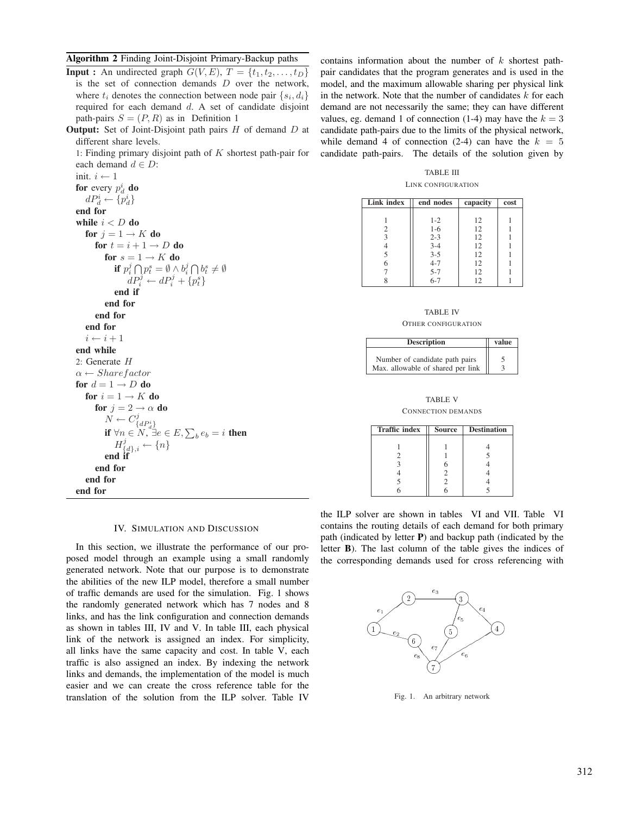Algorithm 2 Finding Joint-Disjoint Primary-Backup paths

**Input :** An undirected graph  $G(V, E)$ ,  $T = \{t_1, t_2, \ldots, t_D\}$ is the set of connection demands *D* over the network, where  $t_i$  denotes the connection between node pair  $\{s_i, d_i\}$ required for each demand *d*. A set of candidate disjoint path-pairs  $S = (P, R)$  as in Definition 1

Output: Set of Joint-Disjoint path pairs *H* of demand *D* at different share levels.

1: Finding primary disjoint path of *K* shortest path-pair for each demand  $d \in D$ :

init.  $i \leftarrow 1$ for every  $p_d^i$  do  $dP_d^i \leftarrow \{p_d^i\}$ end for while  $i < D$  do for  $j = 1 \rightarrow K$  do for  $t = i + 1 \rightarrow D$  do for  $s = 1 \rightarrow K$  do if  $p_i^j \bigcap p_t^s = \emptyset \wedge b_i^j \bigcap b_t^s \neq \emptyset$  $dP_i^j \leftarrow dP_i^j + \{p_t^s\}$ end if end for end for end for  $i \leftarrow i + 1$ end while 2: Generate *H α* ← *Sharef actor* for  $d = 1 \rightarrow D$  do for  $i = 1 \rightarrow K$  do for  $j = 2 \rightarrow \alpha$  do  $\overline{N} \leftarrow C^j_{\{dP^i_d\}}$ <br>**if**  $\forall n \in \overline{N}$ ,  $\exists e \in E$ ,  $\sum_b e_b = i$  then  $H^j_{\{d\},i} \leftarrow \{n\}$ end if end for end for end for

contains information about the number of *k* shortest pathpair candidates that the program generates and is used in the model, and the maximum allowable sharing per physical link in the network. Note that the number of candidates *k* for each demand are not necessarily the same; they can have different values, eg. demand 1 of connection  $(1-4)$  may have the  $k = 3$ candidate path-pairs due to the limits of the physical network, while demand 4 of connection  $(2-4)$  can have the  $k = 5$ candidate path-pairs. The details of the solution given by

TABLE III LINK CONFIGURATION

| Link index | end nodes      | capacity | cost |
|------------|----------------|----------|------|
|            |                |          |      |
|            | $1 - 2$        | 12       |      |
| 2          | $1-6$          | 12       |      |
| 3          | $2 - 3$        | 12       |      |
|            | $3-4$<br>$3-5$ | 12       |      |
| 5          |                | 12       |      |
|            | $4 - 7$        | 12       |      |
|            | $5 - 7$        | 12       |      |
|            | $6 - 7$        | 12       |      |

TABLE IV OTHER CONFIGURATION

| <b>Description</b>                                                  | value |
|---------------------------------------------------------------------|-------|
| Number of candidate path pairs<br>Max. allowable of shared per link |       |

TABLE V CONNECTION DEMANDS

| <b>Traffic index</b> | <b>Source</b> | <b>Destination</b> |
|----------------------|---------------|--------------------|
|                      |               |                    |
|                      |               |                    |
|                      |               | 5                  |
|                      |               |                    |
|                      |               |                    |
|                      |               |                    |
|                      |               |                    |

#### IV. SIMULATION AND DISCUSSION

In this section, we illustrate the performance of our proposed model through an example using a small randomly generated network. Note that our purpose is to demonstrate the abilities of the new ILP model, therefore a small number of traffic demands are used for the simulation. Fig. 1 shows the randomly generated network which has 7 nodes and 8 links, and has the link configuration and connection demands as shown in tables III, IV and V. In table III, each physical link of the network is assigned an index. For simplicity, all links have the same capacity and cost. In table V, each traffic is also assigned an index. By indexing the network links and demands, the implementation of the model is much easier and we can create the cross reference table for the translation of the solution from the ILP solver. Table IV

the ILP solver are shown in tables VI and VII. Table VI contains the routing details of each demand for both primary path (indicated by letter P) and backup path (indicated by the letter B). The last column of the table gives the indices of the corresponding demands used for cross referencing with



Fig. 1. An arbitrary network